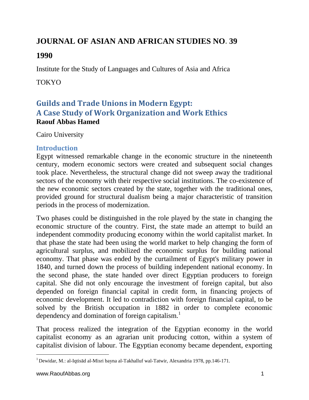# **JOURNAL OF ASIAN AND AFRICAN STUDIES NO. 39**

## **1990**

Institute for the Study of Languages and Cultures of Asia and Africa

## TOKYO

## **Guilds and Trade Unions in Modern Egypt: A Case Study of Work Organization and Work Ethics Raouf Abbas Hamed**

Cairo University

## **Introduction**

Egypt witnessed remarkable change in the economic structure in the nineteenth century, modern economic sectors were created and subsequent social changes took place. Nevertheless, the structural change did not sweep away the traditional sectors of the economy with their respective social institutions. The co-existence of the new economic sectors created by the state, together with the traditional ones, provided ground for structural dualism being a major characteristic of transition periods in the process of modernization.

Two phases could be distinguished in the role played by the state in changing the economic structure of the country. First, the state made an attempt to build an independent commodity producing economy within the world capitalist market. In that phase the state had been using the world market to help changing the form of agricultural surplus, and mobilized the economic surplus for building national economy. That phase was ended by the curtailment of Egypt's military power in 1840, and turned down the process of building independent national economy. In the second phase, the state handed over direct Egyptian producers to foreign capital. She did not only encourage the investment of foreign capital, but also depended on foreign financial capital in credit form, in financing projects of economic development. It led to contradiction with foreign financial capital, to be solved by the British occupation in 1882 in order to complete economic dependency and domination of foreign capitalism.<sup>1</sup>

That process realized the integration of the Egyptian economy in the world capitalist economy as an agrarian unit producing cotton, within a system of capitalist division of labour. The Egyptian economy became dependent, exporting

 $\overline{a}$  $1$  Dewidar, M.: al-Iqtisād al-Misri bayna al-Takhalluf wal-Tatwir, Alexandria 1978, pp. 146-171.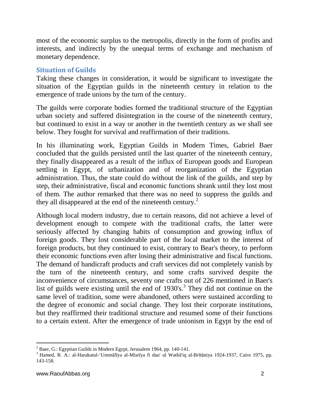most of the economic surplus to the metropolis, directly in the form of profits and interests, and indirectly by the unequal terms of exchange and mechanism of monetary dependence.

#### **Situation of Guilds**

Taking these changes in consideration, it would be significant to investigate the situation of the Egyptian guilds in the nineteenth century in relation to the emergence of trade unions by the turn of the century.

The guilds were corporate bodies formed the traditional structure of the Egyptian urban society and suffered disintegration in the course of the nineteenth century, but continued to exist in a way or another in the twentieth century as we shall see below. They fought for survival and reaffirmation of their traditions.

In his illuminating work, Egyptian Guilds in Modern Times, Gabriel Baer concluded that the guilds persisted until the last quarter of the nineteenth century, they finally disappeared as a result of the influx of European goods and European settling in Egypt, of urbanization and of reorganization of the Egyptian administration. Thus, the state could do without the link of the guilds, and step by step, their administrative, fiscal and economic functions shrank until they lost most of them. The author remarked that there was no need to suppress the guilds and they all disappeared at the end of the nineteenth century.<sup>2</sup>

Although local modern industry, due to certain reasons, did not achieve a level of development enough to compete with the traditional crafts, the latter were seriously affected by changing habits of consumption and growing influx of foreign goods. They lost considerable part of the local market to the interest of foreign products, but they continued to exist, contrary to Bear's theory, to perform their economic functions even after losing their administrative and fiscal functions. The demand of handicraft products and craft services did not completely vanish by the turn of the nineteenth century, and some crafts survived despite the inconvenience of circumstances, seventy one crafts out of 226 mentioned in Baer's list of guilds were existing until the end of 1930's. 3 They did not continue on the same level of tradition, some were abandoned, others were sustained according to the degree of economic and social change. They lost their corporate institutions, but they reaffirmed their traditional structure and resumed some of their functions to a certain extent. After the emergence of trade unionism in Egypt by the end of

 $\overline{a}$  $2^2$  Baer, G.: Egyptian Guilds in Modern Egypt, Jerusalem 1964, pp. 140-141.

<sup>3</sup> Hamed, R. A.: al-Harakatul-'Ummālīya al-Misrīya fi dau' ul Wathā'iq al-Brītāniya 1924-1937, Cairo 1975, pp. 143-158.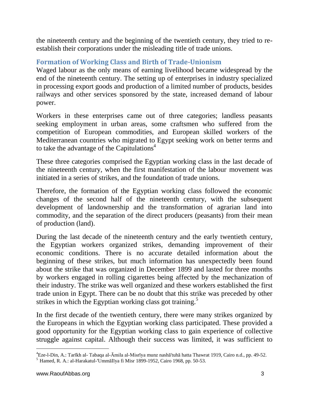the nineteenth century and the beginning of the twentieth century, they tried to reestablish their corporations under the misleading title of trade unions.

## **Formation of Working Class and Birth of Trade-Unionism**

Waged labour as the only means of earning livelihood became widespread by the end of the nineteenth century. The setting up of enterprises in industry specialized in processing export goods and production of a limited number of products, besides railways and other services sponsored by the state, increased demand of labour power.

Workers in these enterprises came out of three categories; landless peasants seeking employment in urban areas, some craftsmen who suffered from the competition of European commodities, and European skilled workers of the Mediterranean countries who migrated to Egypt seeking work on better terms and to take the advantage of the Capitulations<sup> $4$ </sup>

These three categories comprised the Egyptian working class in the last decade of the nineteenth century, when the first manifestation of the labour movement was initiated in a series of strikes, and the foundation of trade unions.

Therefore, the formation of the Egyptian working class followed the economic changes of the second half of the nineteenth century, with the subsequent development of landownership and the transformation of agrarian land into commodity, and the separation of the direct producers (peasants) from their mean of production (land).

During the last decade of the nineteenth century and the early twentieth century, the Egyptian workers organized strikes, demanding improvement of their economic conditions. There is no accurate detailed information about the beginning of these strikes, but much information has unexpectedly been found about the strike that was organized in December 1899 and lasted for three months by workers engaged in rolling cigarettes being affected by the mechanization of their industry. The strike was well organized and these workers established the first trade union in Egypt. There can be no doubt that this strike was preceded by other strikes in which the Egyptian working class got training.<sup>5</sup>

In the first decade of the twentieth century, there were many strikes organized by the Europeans in which the Egyptian working class participated. These provided a good opportunity for the Egyptian working class to gain experience of collective struggle against capital. Although their success was limited, it was sufficient to

l <sup>4</sup>Eze-l-Din, A.: Tarīkh al- Tabaqa al-Āmila al-Misrīya munz nashā'tuhā hatta Thawrat 1919, Cairo n.d., pp. 49-52.

 $<sup>5</sup>$  Hamed, R. A.: al-Harakatul-'UmmāIīya fi Misr 1899-1952, Cairo 1968, pp. 50-53.</sup>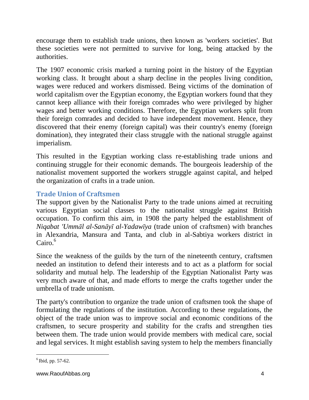encourage them to establish trade unions, then known as 'workers societies'. But these societies were not permitted to survive for long, being attacked by the authorities.

The 1907 economic crisis marked a turning point in the history of the Egyptian working class. It brought about a sharp decline in the peoples living condition, wages were reduced and workers dismissed. Being victims of the domination of world capitalism over the Egyptian economy, the Egyptian workers found that they cannot keep alliance with their foreign comrades who were privileged by higher wages and better working conditions. Therefore, the Egyptian workers split from their foreign comrades and decided to have independent movement. Hence, they discovered that their enemy (foreign capital) was their country's enemy (foreign domination), they integrated their class struggle with the national struggle against imperialism.

This resulted in the Egyptian working class re-establishing trade unions and continuing struggle for their economic demands. The bourgeois leadership of the nationalist movement supported the workers struggle against capital, and helped the organization of crafts in a trade union.

## **Trade Union of Craftsmen**

The support given by the Nationalist Party to the trade unions aimed at recruiting various Egyptian social classes to the nationalist struggle against British occupation. To confirm this aim, in 1908 the party helped the establishment of *Niqabat 'Ummāl al-Sanāyī al-Yadawīya* (trade union of craftsmen) with branches in Alexandria, Mansura and Tanta, and club in al-Sabtiya workers district in  $Cairo.<sup>6</sup>$ 

Since the weakness of the guilds by the turn of the nineteenth century, craftsmen needed an institution to defend their interests and to act as a platform for social solidarity and mutual help. The leadership of the Egyptian Nationalist Party was very much aware of that, and made efforts to merge the crafts together under the umbrella of trade unionism.

The party's contribution to organize the trade union of craftsmen took the shape of formulating the regulations of the institution. According to these regulations, the object of the trade union was to improve social and economic conditions of the craftsmen, to secure prosperity and stability for the crafts and strengthen ties between them. The trade union would provide members with medical care, social and legal services. It might establish saving system to help the members financially

 $\overline{a}$  $6$  Ibid, pp. 57-62.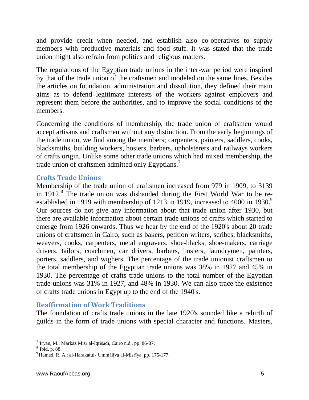and provide credit when needed, and establish also co-operatives to supply members with productive materials and food stuff. It was stated that the trade union might also refrain from politics and religious matters.

The regulations of the Egyptian trade unions in the inter-war period were inspired by that of the trade union of the craftsmen and modeled on the same lines. Besides the articles on foundation, administration and dissolution, they defined their main aims as to defend legitimate interests of the workers against employers and represent them before the authorities, and to improve the social conditions of the members.

Concerning the conditions of membership, the trade union of craftsmen would accept artisans and craftsmen without any distinction. From the early beginnings of the trade union, we find among the members; carpenters, painters, saddlers, cooks, blacksmiths, building workers, hosiers, barbers, upholsterers and railways workers of crafts origin. Unlike some other trade unions which had mixed membership, the trade union of craftsmen admitted only Egyptians.<sup>7</sup>

#### **Crafts Trade Unions**

Membership of the trade union of craftsmen increased from 979 in 1909, to 3139 in 1912. $8$  The trade union was disbanded during the First World War to be reestablished in 1919 with membership of 1213 in 1919, increased to 4000 in 1930. $\degree$ Our sources do not give any information about that trade union after 1930, but there are available information about certain trade unions of crafts which started to emerge from 1926 onwards. Thus we hear by the end of the 1920's about 20 trade unions of craftsmen in Cairo, such as bakers, petition writers, scribes, blacksmiths, weavers, cooks, carpenters, metal engravers, shoe-blacks, shoe-makers, carriage drivers, tailors, coachmen, car drivers, barbers, hosiers, laundrymen, painters, porters, saddlers, and wighers. The percentage of the trade unionist craftsmen to the total membership of the Egyptian trade unions was 38% in 1927 and 45% in 1930. The percentage of crafts trade unions to the total number of the Egyptian trade unions was 31% in 1927, and 48% in 1930. We can also trace the existence of crafts trade unions in Egypt up to the end of the 1940's.

#### **Reaffirmation of Work Traditions**

The foundation of crafts trade unions in the late 1920's sounded like a rebirth of guilds in the form of trade unions with special character and functions. Masters,

l 7 'Iryan, M.: Markaz Misr al-Iqtisādī, Cairo n.d., pp. 86-87.

 $8 \frac{17}{16}$ , p. 88.

<sup>9</sup> Hamed, R. A.: al-Harakatul-'Ummālīya al-Misrīya, pp. 175-177.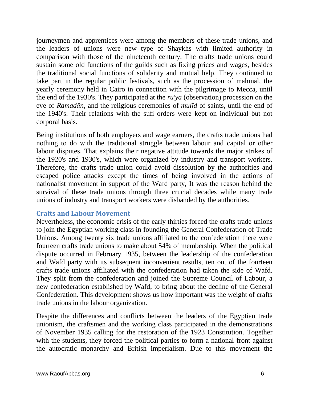journeymen and apprentices were among the members of these trade unions, and the leaders of unions were new type of Shaykhs with limited authority in comparison with those of the nineteenth century. The crafts trade unions could sustain some old functions of the guilds such as fixing prices and wages, besides the traditional social functions of solidarity and mutual help. They continued to take part in the regular public festivals, such as the procession of mahmal, the yearly ceremony held in Cairo in connection with the pilgrimage to Mecca, until the end of the 1930's. They participated at the *ru'ya* (observation) procession on the eve of *Ramadān*, and the religious ceremonies of *mulīd* of saints, until the end of the 1940's. Their relations with the sufi orders were kept on individual but not corporal basis.

Being institutions of both employers and wage earners, the crafts trade unions had nothing to do with the traditional struggle between labour and capital or other labour disputes. That explains their negative attitude towards the major strikes of the 1920's and 1930's, which were organized by industry and transport workers. Therefore, the crafts trade union could avoid dissolution by the authorities and escaped police attacks except the times of being involved in the actions of nationalist movement in support of the Wafd party, It was the reason behind the survival of these trade unions through three crucial decades while many trade unions of industry and transport workers were disbanded by the authorities.

#### **Crafts and Labour Movement**

Nevertheless, the economic crisis of the early thirties forced the crafts trade unions to join the Egyptian working class in founding the General Confederation of Trade Unions. Among twenty six trade unions affiliated to the confederation there were fourteen crafts trade unions to make about 54% of membership. When the political dispute occurred in February 1935, between the leadership of the confederation and Wafd party with its subsequent inconvenient results, ten out of the fourteen crafts trade unions affiliated with the confederation had taken the side of Wafd. They split from the confederation and joined the Supreme Council of Labour, a new confederation established by Wafd, to bring about the decline of the General Confederation. This development shows us how important was the weight of crafts trade unions in the labour organization.

Despite the differences and conflicts between the leaders of the Egyptian trade unionism, the craftsmen and the working class participated in the demonstrations of November 1935 calling for the restoration of the 1923 Constitution. Together with the students, they forced the political parties to form a national front against the autocratic monarchy and British imperialism. Due to this movement the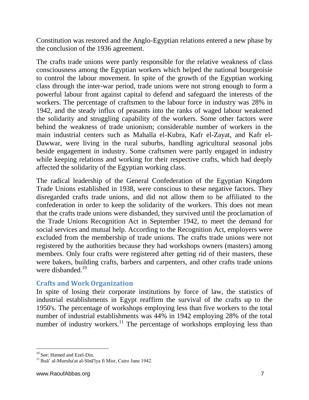Constitution was restored and the Anglo-Egyptian relations entered a new phase by the conclusion of the 1936 agreement.

The crafts trade unions were partly responsible for the relative weakness of class consciousness among the Egyptian workers which helped the national bourgeoisie to control the labour movement. In spite of the growth of the Egyptian working class through the inter-war period, trade unions were not strong enough to form a powerful labour front against capital to defend and safeguard the interests of the workers. The percentage of craftsmen to the labour force in industry was 28% in 1942, and the steady influx of peasants into the ranks of waged labour weakened the solidarity and struggling capability of the workers. Some other factors were behind the weakness of trade unionism; considerable number of workers in the main industrial centers such as Mahalla el-Kubra, Kafr el-Zayat, and Kafr el-Dawwar, were living in the rural suburbs, handling agricultural seasonal jobs beside engagement in industry. Some craftsmen were partly engaged in industry while keeping relations and working for their respective crafts, which had deeply affected the solidarity of the Egyptian working class.

The radical leadership of the General Confederation of the Egyptian Kingdom Trade Unions established in 1938, were conscious to these negative factors. They disregarded crafts trade unions, and did not allow them to be affiliated to the confederation in order to keep the solidarity of the workers. This does not mean that the crafts trade unions were disbanded, they survived until the proclamation of the Trade Unions Recognition Act in September 1942, to meet the demand for social services and mutual help. According to the Recognition Act, employers were excluded from the membership of trade unions. The crafts trade unions were not registered by the authorities because they had workshops owners (masters) among members. Only four crafts were registered after getting rid of their masters, these were bakers, building crafts, barbers and carpenters, and other crafts trade unions were disbanded. $10$ 

#### **Crafts and Work Organization**

In spite of losing their corporate institutions by force of law, the statistics of industrial establishments in Egypt reaffirm the survival of the crafts up to the 1950's. The percentage of workshops employing less than five workers to the total number of industrial establishments was 44% in 1942 employing 28% of the total number of industry workers.<sup>11</sup> The percentage of workshops employing less than

l

<sup>10</sup> See: Hamed and Ezel-Din.

<sup>11</sup> Ihsā' al-Munsha'at al-Sīnā'īya fi Misr, Cairo June 1942.